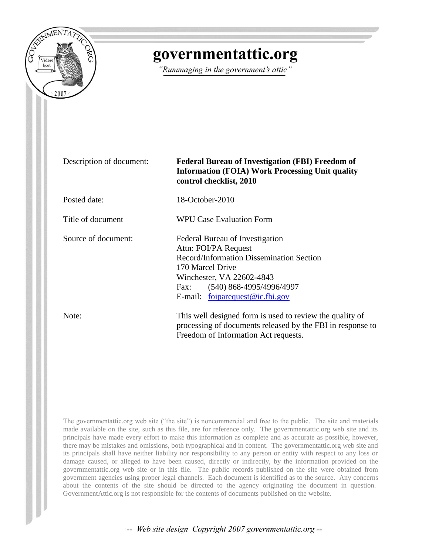

# governmentattic.org

"Rummaging in the government's attic"

| Description of document: | <b>Federal Bureau of Investigation (FBI) Freedom of</b><br><b>Information (FOIA) Work Processing Unit quality</b><br>control checklist, 2010                                                                                  |
|--------------------------|-------------------------------------------------------------------------------------------------------------------------------------------------------------------------------------------------------------------------------|
| Posted date:             | 18-October-2010                                                                                                                                                                                                               |
| Title of document        | <b>WPU Case Evaluation Form</b>                                                                                                                                                                                               |
| Source of document:      | Federal Bureau of Investigation<br>Attn: FOI/PA Request<br>Record/Information Dissemination Section<br>170 Marcel Drive<br>Winchester, VA 22602-4843<br>$(540)$ 868-4995/4996/4997<br>Fax:<br>E-mail: foiparequest@ic.fbi.gov |
| Note:                    | This well designed form is used to review the quality of<br>processing of documents released by the FBI in response to<br>Freedom of Information Act requests.                                                                |

The governmentattic.org web site ("the site") is noncommercial and free to the public. The site and materials made available on the site, such as this file, are for reference only. The governmentattic.org web site and its principals have made every effort to make this information as complete and as accurate as possible, however, there may be mistakes and omissions, both typographical and in content. The governmentattic.org web site and its principals shall have neither liability nor responsibility to any person or entity with respect to any loss or damage caused, or alleged to have been caused, directly or indirectly, by the information provided on the governmentattic.org web site or in this file. The public records published on the site were obtained from government agencies using proper legal channels. Each document is identified as to the source. Any concerns about the contents of the site should be directed to the agency originating the document in question. GovernmentAttic.org is not responsible for the contents of documents published on the website.

-- Web site design Copyright 2007 governmentattic.org --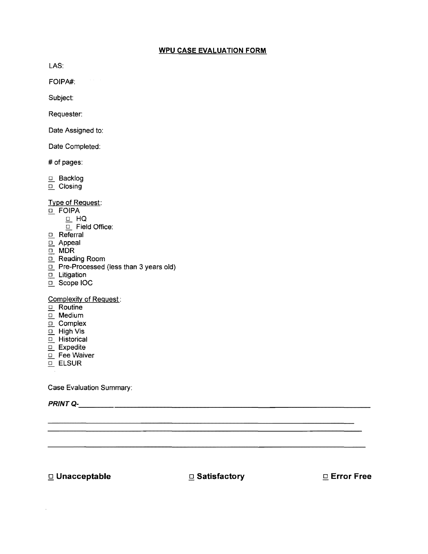## **WPU CASE EVALUATION FORM**

LAS:

FOIPA#:

Subject:

Requester:

Date Assigned to:

Date Completed:

# of pages:

- $\Box$  Backlog
- $\Box$  Closing

Type of Request:

- o **FOIPA** 
	- $\Box$  HQ
		- $\overline{\Box}$  Field Office:
- .Q... Referral
- $\Box$  Appeal
- $\Box$  MDR
- .Q... Reading Room
- $\Box$  Pre-Processed (less than 3 years old)
- $\Box$  Litigation
- D. Scope IOC

Complexity of Request:

- $\mathbf{Q}$ . Routine
- <u>□</u>... Medium
- $\Box$  Complex
- $\underline{\square}$  High Vis
- $\overline{\mathbf{a}}$  Historical
- $\Box$  Expedite
- $\Box$  Fee Waiver
- $\Box$  ELSUR

Case Evaluation Summary:

PRINTQ-\_\_\_\_\_\_\_\_\_\_\_\_\_\_\_\_\_\_\_\_\_\_\_\_\_\_\_\_\_\_\_\_\_\_\_\_\_\_\_\_\_\_\_\_\_\_\_\_\_\_\_\_\_\_\_\_ \_\_

o **Unacceptable Satisfactory** o **Error Free** 

 $\sim$